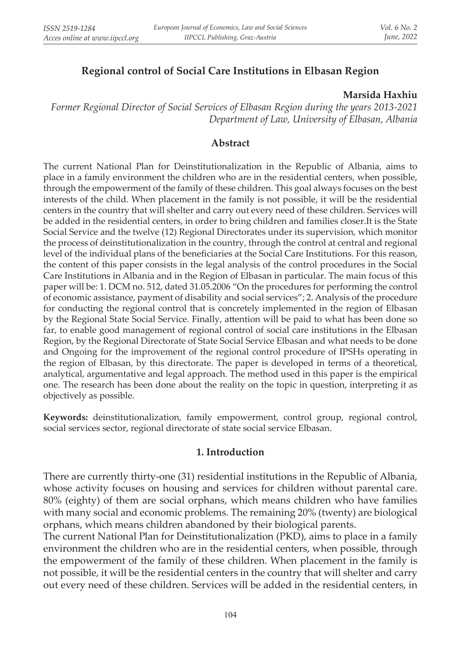# **Regional control of Social Care Institutions in Elbasan Region**

#### **Marsida Haxhiu**

*Former Regional Director of Social Services of Elbasan Region during the years 2013-2021 Department of Law, University of Elbasan, Albania*

## **Abstract**

The current National Plan for Deinstitutionalization in the Republic of Albania, aims to place in a family environment the children who are in the residential centers, when possible, through the empowerment of the family of these children. This goal always focuses on the best interests of the child. When placement in the family is not possible, it will be the residential centers in the country that will shelter and carry out every need of these children. Services will be added in the residential centers, in order to bring children and families closer.It is the State Social Service and the twelve (12) Regional Directorates under its supervision, which monitor the process of deinstitutionalization in the country, through the control at central and regional level of the individual plans of the beneficiaries at the Social Care Institutions. For this reason, the content of this paper consists in the legal analysis of the control procedures in the Social Care Institutions in Albania and in the Region of Elbasan in particular. The main focus of this paper will be: 1. DCM no. 512, dated 31.05.2006 "On the procedures for performing the control of economic assistance, payment of disability and social services"; 2. Analysis of the procedure for conducting the regional control that is concretely implemented in the region of Elbasan by the Regional State Social Service. Finally, attention will be paid to what has been done so far, to enable good management of regional control of social care institutions in the Elbasan Region, by the Regional Directorate of State Social Service Elbasan and what needs to be done and Ongoing for the improvement of the regional control procedure of IPSHs operating in the region of Elbasan, by this directorate. The paper is developed in terms of a theoretical, analytical, argumentative and legal approach. The method used in this paper is the empirical one. The research has been done about the reality on the topic in question, interpreting it as objectively as possible.

**Keywords:** deinstitutionalization, family empowerment, control group, regional control, social services sector, regional directorate of state social service Elbasan.

### **1. Introduction**

There are currently thirty-one (31) residential institutions in the Republic of Albania, whose activity focuses on housing and services for children without parental care. 80% (eighty) of them are social orphans, which means children who have families with many social and economic problems. The remaining 20% (twenty) are biological orphans, which means children abandoned by their biological parents.

The current National Plan for Deinstitutionalization (PKD), aims to place in a family environment the children who are in the residential centers, when possible, through the empowerment of the family of these children. When placement in the family is not possible, it will be the residential centers in the country that will shelter and carry out every need of these children. Services will be added in the residential centers, in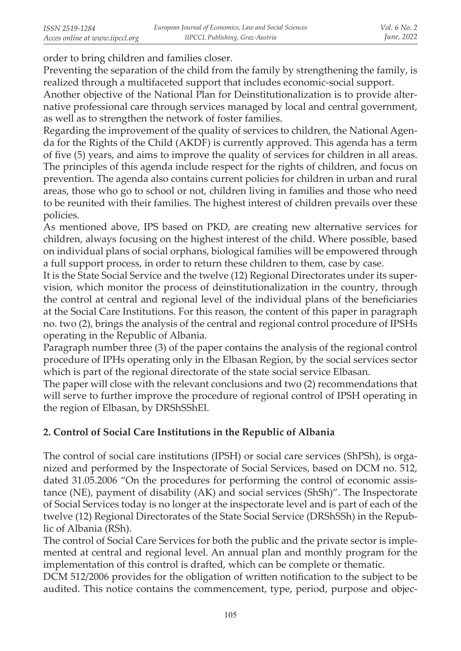order to bring children and families closer.

Preventing the separation of the child from the family by strengthening the family, is realized through a multifaceted support that includes economic-social support.

Another objective of the National Plan for Deinstitutionalization is to provide alternative professional care through services managed by local and central government, as well as to strengthen the network of foster families.

Regarding the improvement of the quality of services to children, the National Agenda for the Rights of the Child (AKDF) is currently approved. This agenda has a term of five (5) years, and aims to improve the quality of services for children in all areas. The principles of this agenda include respect for the rights of children, and focus on prevention. The agenda also contains current policies for children in urban and rural areas, those who go to school or not, children living in families and those who need to be reunited with their families. The highest interest of children prevails over these policies.

As mentioned above, IPS based on PKD, are creating new alternative services for children, always focusing on the highest interest of the child. Where possible, based on individual plans of social orphans, biological families will be empowered through a full support process, in order to return these children to them, case by case.

It is the State Social Service and the twelve (12) Regional Directorates under its supervision, which monitor the process of deinstitutionalization in the country, through the control at central and regional level of the individual plans of the beneficiaries at the Social Care Institutions. For this reason, the content of this paper in paragraph no. two (2), brings the analysis of the central and regional control procedure of IPSHs operating in the Republic of Albania.

Paragraph number three (3) of the paper contains the analysis of the regional control procedure of IPHs operating only in the Elbasan Region, by the social services sector which is part of the regional directorate of the state social service Elbasan.

The paper will close with the relevant conclusions and two (2) recommendations that will serve to further improve the procedure of regional control of IPSH operating in the region of Elbasan, by DRShSShEl.

# **2. Control of Social Care Institutions in the Republic of Albania**

The control of social care institutions (IPSH) or social care services (ShPSh), is organized and performed by the Inspectorate of Social Services, based on DCM no. 512, dated 31.05.2006 "On the procedures for performing the control of economic assistance (NE), payment of disability (AK) and social services (ShSh)". The Inspectorate of Social Services today is no longer at the inspectorate level and is part of each of the twelve (12) Regional Directorates of the State Social Service (DRShSSh) in the Republic of Albania (RSh).

The control of Social Care Services for both the public and the private sector is implemented at central and regional level. An annual plan and monthly program for the implementation of this control is drafted, which can be complete or thematic.

DCM 512/2006 provides for the obligation of written notification to the subject to be audited. This notice contains the commencement, type, period, purpose and objec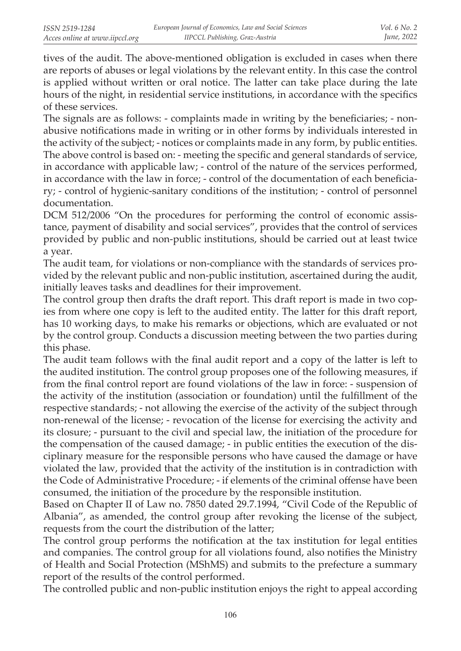tives of the audit. The above-mentioned obligation is excluded in cases when there are reports of abuses or legal violations by the relevant entity. In this case the control is applied without written or oral notice. The latter can take place during the late hours of the night, in residential service institutions, in accordance with the specifics of these services.

The signals are as follows: - complaints made in writing by the beneficiaries; - nonabusive notifications made in writing or in other forms by individuals interested in the activity of the subject; - notices or complaints made in any form, by public entities. The above control is based on: - meeting the specific and general standards of service, in accordance with applicable law; - control of the nature of the services performed, in accordance with the law in force; - control of the documentation of each beneficiary; - control of hygienic-sanitary conditions of the institution; - control of personnel documentation.

DCM 512/2006 "On the procedures for performing the control of economic assistance, payment of disability and social services", provides that the control of services provided by public and non-public institutions, should be carried out at least twice a year.

The audit team, for violations or non-compliance with the standards of services provided by the relevant public and non-public institution, ascertained during the audit, initially leaves tasks and deadlines for their improvement.

The control group then drafts the draft report. This draft report is made in two copies from where one copy is left to the audited entity. The latter for this draft report, has 10 working days, to make his remarks or objections, which are evaluated or not by the control group. Conducts a discussion meeting between the two parties during this phase.

The audit team follows with the final audit report and a copy of the latter is left to the audited institution. The control group proposes one of the following measures, if from the final control report are found violations of the law in force: - suspension of the activity of the institution (association or foundation) until the fulfillment of the respective standards; - not allowing the exercise of the activity of the subject through non-renewal of the license; - revocation of the license for exercising the activity and its closure; - pursuant to the civil and special law, the initiation of the procedure for the compensation of the caused damage; - in public entities the execution of the disciplinary measure for the responsible persons who have caused the damage or have violated the law, provided that the activity of the institution is in contradiction with the Code of Administrative Procedure; - if elements of the criminal offense have been consumed, the initiation of the procedure by the responsible institution.

Based on Chapter II of Law no. 7850 dated 29.7.1994, "Civil Code of the Republic of Albania", as amended, the control group after revoking the license of the subject, requests from the court the distribution of the latter;

The control group performs the notification at the tax institution for legal entities and companies. The control group for all violations found, also notifies the Ministry of Health and Social Protection (MShMS) and submits to the prefecture a summary report of the results of the control performed.

The controlled public and non-public institution enjoys the right to appeal according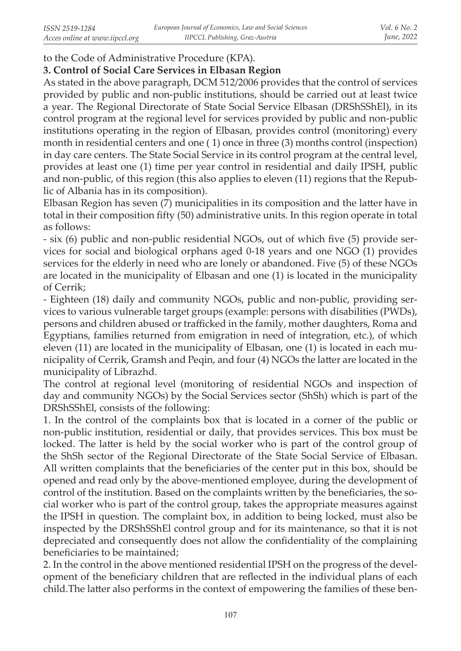to the Code of Administrative Procedure (KPA).

### **3. Control of Social Care Services in Elbasan Region**

As stated in the above paragraph, DCM 512/2006 provides that the control of services provided by public and non-public institutions, should be carried out at least twice a year. The Regional Directorate of State Social Service Elbasan (DRShSShEl), in its control program at the regional level for services provided by public and non-public institutions operating in the region of Elbasan, provides control (monitoring) every month in residential centers and one ( 1) once in three (3) months control (inspection) in day care centers. The State Social Service in its control program at the central level, provides at least one (1) time per year control in residential and daily IPSH, public and non-public, of this region (this also applies to eleven (11) regions that the Republic of Albania has in its composition).

Elbasan Region has seven (7) municipalities in its composition and the latter have in total in their composition fifty (50) administrative units. In this region operate in total as follows:

- six (6) public and non-public residential NGOs, out of which five (5) provide services for social and biological orphans aged 0-18 years and one NGO (1) provides services for the elderly in need who are lonely or abandoned. Five (5) of these NGOs are located in the municipality of Elbasan and one (1) is located in the municipality of Cerrik;

- Eighteen (18) daily and community NGOs, public and non-public, providing services to various vulnerable target groups (example: persons with disabilities (PWDs), persons and children abused or trafficked in the family, mother daughters, Roma and Egyptians, families returned from emigration in need of integration, etc.), of which eleven (11) are located in the municipality of Elbasan, one (1) is located in each municipality of Cerrik, Gramsh and Peqin, and four (4) NGOs the latter are located in the municipality of Librazhd.

The control at regional level (monitoring of residential NGOs and inspection of day and community NGOs) by the Social Services sector (ShSh) which is part of the DRShSShEl, consists of the following:

1. In the control of the complaints box that is located in a corner of the public or non-public institution, residential or daily, that provides services. This box must be locked. The latter is held by the social worker who is part of the control group of the ShSh sector of the Regional Directorate of the State Social Service of Elbasan. All written complaints that the beneficiaries of the center put in this box, should be opened and read only by the above-mentioned employee, during the development of control of the institution. Based on the complaints written by the beneficiaries, the social worker who is part of the control group, takes the appropriate measures against the IPSH in question. The complaint box, in addition to being locked, must also be inspected by the DRShSShEl control group and for its maintenance, so that it is not depreciated and consequently does not allow the confidentiality of the complaining beneficiaries to be maintained;

2. In the control in the above mentioned residential IPSH on the progress of the development of the beneficiary children that are reflected in the individual plans of each child.The latter also performs in the context of empowering the families of these ben-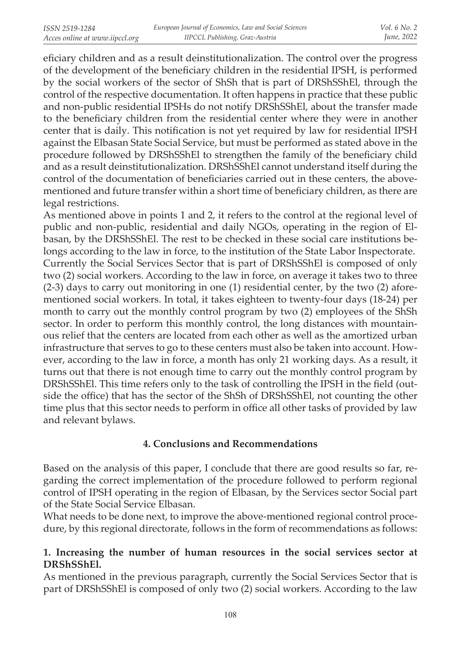eficiary children and as a result deinstitutionalization. The control over the progress of the development of the beneficiary children in the residential IPSH, is performed by the social workers of the sector of ShSh that is part of DRShSShEl, through the control of the respective documentation. It often happens in practice that these public and non-public residential IPSHs do not notify DRShSShEl, about the transfer made to the beneficiary children from the residential center where they were in another center that is daily. This notification is not yet required by law for residential IPSH against the Elbasan State Social Service, but must be performed as stated above in the procedure followed by DRShSShEl to strengthen the family of the beneficiary child and as a result deinstitutionalization. DRShSShEl cannot understand itself during the control of the documentation of beneficiaries carried out in these centers, the abovementioned and future transfer within a short time of beneficiary children, as there are legal restrictions.

As mentioned above in points 1 and 2, it refers to the control at the regional level of public and non-public, residential and daily NGOs, operating in the region of Elbasan, by the DRShSShEl. The rest to be checked in these social care institutions belongs according to the law in force, to the institution of the State Labor Inspectorate. Currently the Social Services Sector that is part of DRShSShEl is composed of only two (2) social workers. According to the law in force, on average it takes two to three (2-3) days to carry out monitoring in one (1) residential center, by the two (2) aforementioned social workers. In total, it takes eighteen to twenty-four days (18-24) per month to carry out the monthly control program by two (2) employees of the ShSh sector. In order to perform this monthly control, the long distances with mountainous relief that the centers are located from each other as well as the amortized urban infrastructure that serves to go to these centers must also be taken into account. However, according to the law in force, a month has only 21 working days. As a result, it turns out that there is not enough time to carry out the monthly control program by DRShSShEl. This time refers only to the task of controlling the IPSH in the field (outside the office) that has the sector of the ShSh of DRShSShEl, not counting the other time plus that this sector needs to perform in office all other tasks of provided by law and relevant bylaws.

### **4. Conclusions and Recommendations**

Based on the analysis of this paper, I conclude that there are good results so far, regarding the correct implementation of the procedure followed to perform regional control of IPSH operating in the region of Elbasan, by the Services sector Social part of the State Social Service Elbasan.

What needs to be done next, to improve the above-mentioned regional control procedure, by this regional directorate, follows in the form of recommendations as follows:

## **1. Increasing the number of human resources in the social services sector at DRShSShEl.**

As mentioned in the previous paragraph, currently the Social Services Sector that is part of DRShSShEl is composed of only two (2) social workers. According to the law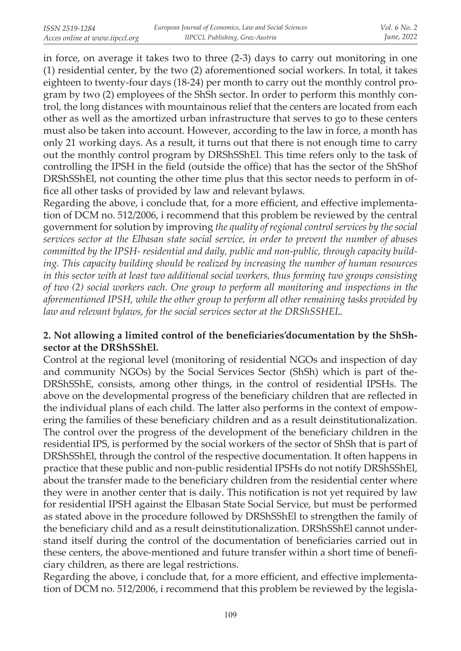in force, on average it takes two to three (2-3) days to carry out monitoring in one (1) residential center, by the two (2) aforementioned social workers. In total, it takes eighteen to twenty-four days (18-24) per month to carry out the monthly control program by two (2) employees of the ShSh sector. In order to perform this monthly control, the long distances with mountainous relief that the centers are located from each other as well as the amortized urban infrastructure that serves to go to these centers must also be taken into account. However, according to the law in force, a month has only 21 working days. As a result, it turns out that there is not enough time to carry out the monthly control program by DRShSShEl. This time refers only to the task of controlling the IPSH in the field (outside the office) that has the sector of the ShShof DRShSShEl, not counting the other time plus that this sector needs to perform in office all other tasks of provided by law and relevant bylaws.

Regarding the above, i conclude that, for a more efficient, and effective implementation of DCM no. 512/2006, i recommend that this problem be reviewed by the central government for solution by improving *the quality of regional control services by the social services sector at the Elbasan state social service, in order to prevent the number of abuses committed by the IPSH- residential and daily, public and non-public, through capacity building. This capacity building should be realized by increasing the number of human resources in this sector with at least two additional social workers, thus forming two groups consisting of two (2) social workers each. One group to perform all monitoring and inspections in the aforementioned IPSH, while the other group to perform all other remaining tasks provided by law and relevant bylaws, for the social services sector at the DRShSSHEL.*

#### **2. Not allowing a limited control of the beneficiaries'documentation by the ShShsector at the DRShSShEl***.*

Control at the regional level (monitoring of residential NGOs and inspection of day and community NGOs) by the Social Services Sector (ShSh) which is part of the-DRShSShE, consists, among other things, in the control of residential IPSHs. The above on the developmental progress of the beneficiary children that are reflected in the individual plans of each child. The latter also performs in the context of empowering the families of these beneficiary children and as a result deinstitutionalization. The control over the progress of the development of the beneficiary children in the residential IPS, is performed by the social workers of the sector of ShSh that is part of DRShSShEl, through the control of the respective documentation. It often happens in practice that these public and non-public residential IPSHs do not notify DRShSShEl, about the transfer made to the beneficiary children from the residential center where they were in another center that is daily. This notification is not yet required by law for residential IPSH against the Elbasan State Social Service, but must be performed as stated above in the procedure followed by DRShSShEl to strengthen the family of the beneficiary child and as a result deinstitutionalization. DRShSShEl cannot understand itself during the control of the documentation of beneficiaries carried out in these centers, the above-mentioned and future transfer within a short time of beneficiary children, as there are legal restrictions.

Regarding the above, i conclude that, for a more efficient, and effective implementation of DCM no. 512/2006, i recommend that this problem be reviewed by the legisla